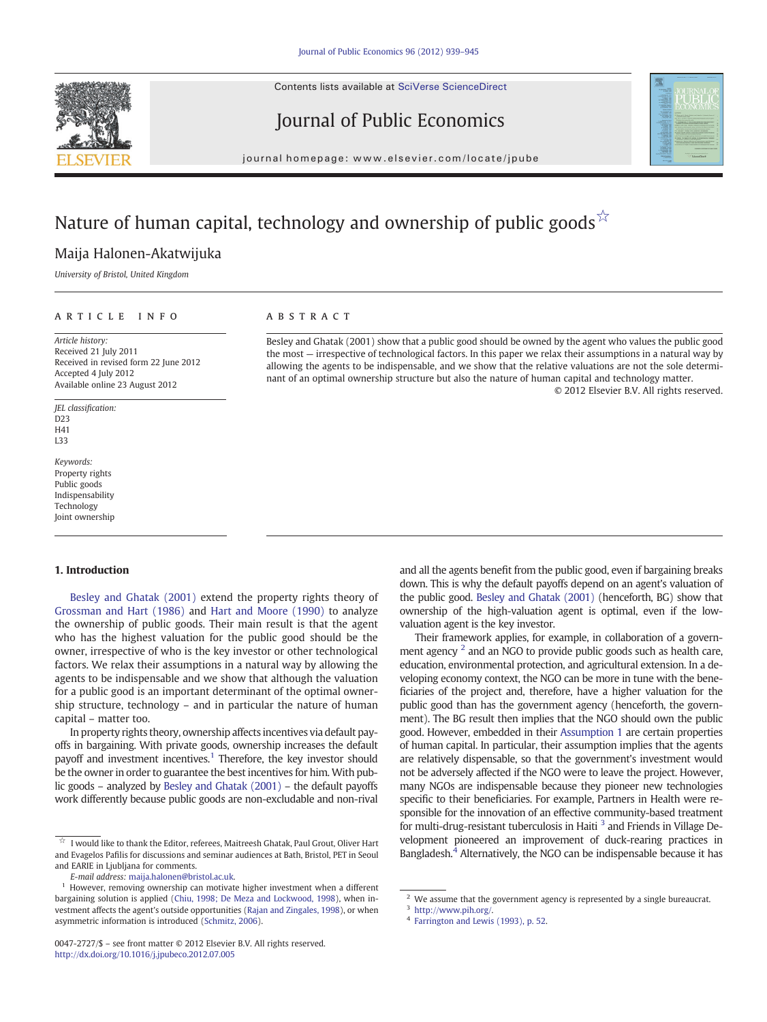Contents lists available at SciVerse ScienceDirect





Journal of Public Economics

journal homepage: www.elsevier.com/locate/jpube

# Nature of human capital, technology and ownership of public goods  $\hat{X}$

### Maija Halonen-Akatwijuka

University of Bristol, United Kingdom

#### article info abstract

Article history: Received 21 July 2011 Received in revised form 22 June 2012 Accepted 4 July 2012 Available online 23 August 2012

JEL classification: D23 H41 L33

Keywords: Property rights Public goods Indispensability Technology Joint ownership

#### 1. Introduction

[Besley and Ghatak \(2001\)](#page--1-0) extend the property rights theory of [Grossman and Hart \(1986\)](#page--1-0) and [Hart and Moore \(1990\)](#page--1-0) to analyze the ownership of public goods. Their main result is that the agent who has the highest valuation for the public good should be the owner, irrespective of who is the key investor or other technological factors. We relax their assumptions in a natural way by allowing the agents to be indispensable and we show that although the valuation for a public good is an important determinant of the optimal ownership structure, technology – and in particular the nature of human capital – matter too.

In property rights theory, ownership affects incentives via default payoffs in bargaining. With private goods, ownership increases the default payoff and investment incentives.<sup>1</sup> Therefore, the key investor should be the owner in order to guarantee the best incentives for him. With public goods – analyzed by [Besley and Ghatak \(2001\)](#page--1-0) – the default payoffs work differently because public goods are non-excludable and non-rival

0047-2727/\$ – see front matter © 2012 Elsevier B.V. All rights reserved. <http://dx.doi.org/10.1016/j.jpubeco.2012.07.005>

Besley and Ghatak (2001) show that a public good should be owned by the agent who values the public good the most — irrespective of technological factors. In this paper we relax their assumptions in a natural way by allowing the agents to be indispensable, and we show that the relative valuations are not the sole determinant of an optimal ownership structure but also the nature of human capital and technology matter. © 2012 Elsevier B.V. All rights reserved.

> and all the agents benefit from the public good, even if bargaining breaks down. This is why the default payoffs depend on an agent's valuation of the public good. [Besley and Ghatak \(2001\)](#page--1-0) (henceforth, BG) show that ownership of the high-valuation agent is optimal, even if the lowvaluation agent is the key investor.

> Their framework applies, for example, in collaboration of a government agency <sup>2</sup> and an NGO to provide public goods such as health care, education, environmental protection, and agricultural extension. In a developing economy context, the NGO can be more in tune with the beneficiaries of the project and, therefore, have a higher valuation for the public good than has the government agency (henceforth, the government). The BG result then implies that the NGO should own the public good. However, embedded in their [Assumption 1](#page--1-0) are certain properties of human capital. In particular, their assumption implies that the agents are relatively dispensable, so that the government's investment would not be adversely affected if the NGO were to leave the project. However, many NGOs are indispensable because they pioneer new technologies specific to their beneficiaries. For example, Partners in Health were responsible for the innovation of an effective community-based treatment for multi-drug-resistant tuberculosis in Haiti  $3$  and Friends in Village Development pioneered an improvement of duck-rearing practices in Bangladesh.<sup>4</sup> Alternatively, the NGO can be indispensable because it has

 $\overrightarrow{a}$  I would like to thank the Editor, referees, Maitreesh Ghatak, Paul Grout, Oliver Hart and Evagelos Pafilis for discussions and seminar audiences at Bath, Bristol, PET in Seoul and EARIE in Ljubljana for comments.

E-mail address: [maija.halonen@bristol.ac.uk](mailto:maija.halonen@bristol.ac.uk).

However, removing ownership can motivate higher investment when a different bargaining solution is applied ([Chiu, 1998; De Meza and Lockwood, 1998\)](#page--1-0), when investment affects the agent's outside opportunities [\(Rajan and Zingales, 1998\)](#page--1-0), or when asymmetric information is introduced ([Schmitz, 2006](#page--1-0)).

 $2$  We assume that the government agency is represented by a single bureaucrat.

<sup>3</sup> [http://www.pih.org/.](http://www.pih.org/)

[Farrington and Lewis \(1993\), p. 52.](#page--1-0)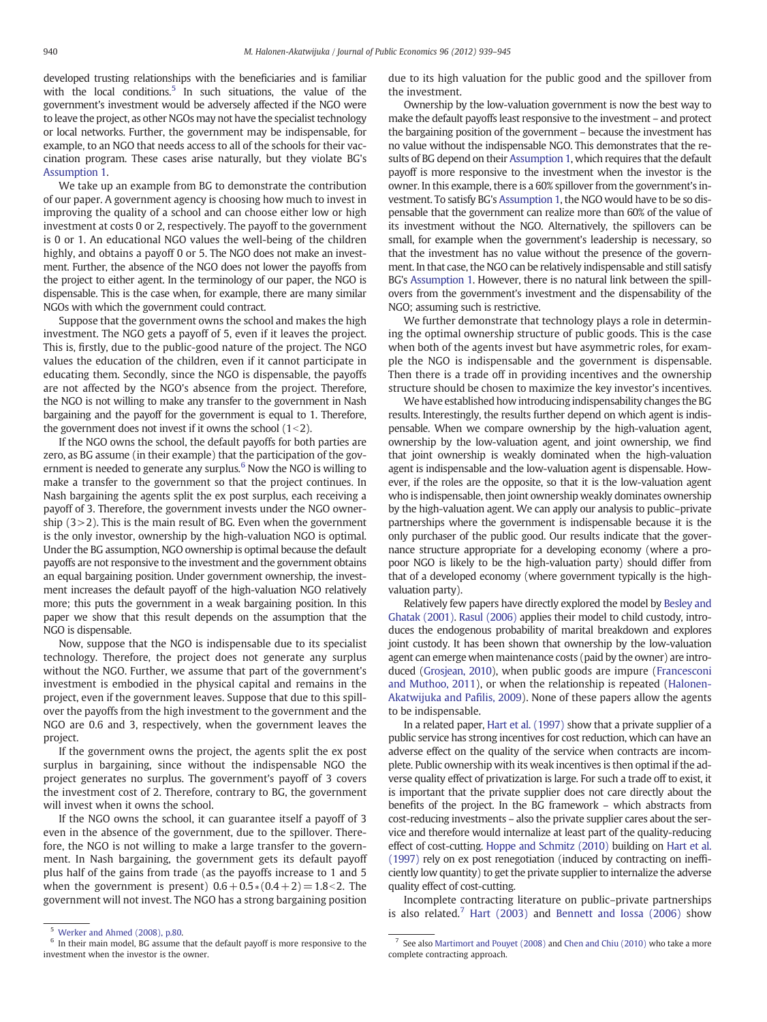developed trusting relationships with the beneficiaries and is familiar with the local conditions.<sup>5</sup> In such situations, the value of the government's investment would be adversely affected if the NGO were to leave the project, as other NGOs may not have the specialist technology or local networks. Further, the government may be indispensable, for example, to an NGO that needs access to all of the schools for their vaccination program. These cases arise naturally, but they violate BG's [Assumption 1.](#page--1-0)

We take up an example from BG to demonstrate the contribution of our paper. A government agency is choosing how much to invest in improving the quality of a school and can choose either low or high investment at costs 0 or 2, respectively. The payoff to the government is 0 or 1. An educational NGO values the well-being of the children highly, and obtains a payoff 0 or 5. The NGO does not make an investment. Further, the absence of the NGO does not lower the payoffs from the project to either agent. In the terminology of our paper, the NGO is dispensable. This is the case when, for example, there are many similar NGOs with which the government could contract.

Suppose that the government owns the school and makes the high investment. The NGO gets a payoff of 5, even if it leaves the project. This is, firstly, due to the public-good nature of the project. The NGO values the education of the children, even if it cannot participate in educating them. Secondly, since the NGO is dispensable, the payoffs are not affected by the NGO's absence from the project. Therefore, the NGO is not willing to make any transfer to the government in Nash bargaining and the payoff for the government is equal to 1. Therefore, the government does not invest if it owns the school  $(1<2)$ .

If the NGO owns the school, the default payoffs for both parties are zero, as BG assume (in their example) that the participation of the government is needed to generate any surplus. $6$  Now the NGO is willing to make a transfer to the government so that the project continues. In Nash bargaining the agents split the ex post surplus, each receiving a payoff of 3. Therefore, the government invests under the NGO ownership (3>2). This is the main result of BG. Even when the government is the only investor, ownership by the high-valuation NGO is optimal. Under the BG assumption, NGO ownership is optimal because the default payoffs are not responsive to the investment and the government obtains an equal bargaining position. Under government ownership, the investment increases the default payoff of the high-valuation NGO relatively more; this puts the government in a weak bargaining position. In this paper we show that this result depends on the assumption that the NGO is dispensable.

Now, suppose that the NGO is indispensable due to its specialist technology. Therefore, the project does not generate any surplus without the NGO. Further, we assume that part of the government's investment is embodied in the physical capital and remains in the project, even if the government leaves. Suppose that due to this spillover the payoffs from the high investment to the government and the NGO are 0.6 and 3, respectively, when the government leaves the project.

If the government owns the project, the agents split the ex post surplus in bargaining, since without the indispensable NGO the project generates no surplus. The government's payoff of 3 covers the investment cost of 2. Therefore, contrary to BG, the government will invest when it owns the school.

If the NGO owns the school, it can guarantee itself a payoff of 3 even in the absence of the government, due to the spillover. Therefore, the NGO is not willing to make a large transfer to the government. In Nash bargaining, the government gets its default payoff plus half of the gains from trade (as the payoffs increase to 1 and 5 when the government is present)  $0.6 + 0.5*(0.4 + 2) = 1.8 < 2$ . The government will not invest. The NGO has a strong bargaining position

due to its high valuation for the public good and the spillover from the investment.

Ownership by the low-valuation government is now the best way to make the default payoffs least responsive to the investment – and protect the bargaining position of the government – because the investment has no value without the indispensable NGO. This demonstrates that the results of BG depend on their [Assumption 1](#page--1-0), which requires that the default payoff is more responsive to the investment when the investor is the owner. In this example, there is a 60% spillover from the government's investment. To satisfy BG's [Assumption 1](#page--1-0), the NGO would have to be so dispensable that the government can realize more than 60% of the value of its investment without the NGO. Alternatively, the spillovers can be small, for example when the government's leadership is necessary, so that the investment has no value without the presence of the government. In that case, the NGO can be relatively indispensable and still satisfy BG's [Assumption 1](#page--1-0). However, there is no natural link between the spillovers from the government's investment and the dispensability of the NGO; assuming such is restrictive.

We further demonstrate that technology plays a role in determining the optimal ownership structure of public goods. This is the case when both of the agents invest but have asymmetric roles, for example the NGO is indispensable and the government is dispensable. Then there is a trade off in providing incentives and the ownership structure should be chosen to maximize the key investor's incentives.

We have established how introducing indispensability changes the BG results. Interestingly, the results further depend on which agent is indispensable. When we compare ownership by the high-valuation agent, ownership by the low-valuation agent, and joint ownership, we find that joint ownership is weakly dominated when the high-valuation agent is indispensable and the low-valuation agent is dispensable. However, if the roles are the opposite, so that it is the low-valuation agent who is indispensable, then joint ownership weakly dominates ownership by the high-valuation agent. We can apply our analysis to public–private partnerships where the government is indispensable because it is the only purchaser of the public good. Our results indicate that the governance structure appropriate for a developing economy (where a propoor NGO is likely to be the high-valuation party) should differ from that of a developed economy (where government typically is the highvaluation party).

Relatively few papers have directly explored the model by [Besley and](#page--1-0) [Ghatak \(2001\).](#page--1-0) [Rasul \(2006\)](#page--1-0) applies their model to child custody, introduces the endogenous probability of marital breakdown and explores joint custody. It has been shown that ownership by the low-valuation agent can emerge when maintenance costs (paid by the owner) are introduced [\(Grosjean, 2010\)](#page--1-0), when public goods are impure [\(Francesconi](#page--1-0) [and Muthoo, 2011\)](#page--1-0), or when the relationship is repeated [\(Halonen-](#page--1-0)[Akatwijuka and Pa](#page--1-0)filis, 2009). None of these papers allow the agents to be indispensable.

In a related paper, [Hart et al. \(1997\)](#page--1-0) show that a private supplier of a public service has strong incentives for cost reduction, which can have an adverse effect on the quality of the service when contracts are incomplete. Public ownership with its weak incentives is then optimal if the adverse quality effect of privatization is large. For such a trade off to exist, it is important that the private supplier does not care directly about the benefits of the project. In the BG framework – which abstracts from cost-reducing investments – also the private supplier cares about the service and therefore would internalize at least part of the quality-reducing effect of cost-cutting. [Hoppe and Schmitz \(2010\)](#page--1-0) building on [Hart et al.](#page--1-0) [\(1997\)](#page--1-0) rely on ex post renegotiation (induced by contracting on inefficiently low quantity) to get the private supplier to internalize the adverse quality effect of cost-cutting.

Incomplete contracting literature on public–private partnerships is also related.<sup>7</sup> [Hart \(2003\)](#page--1-0) and [Bennett and Iossa \(2006\)](#page--1-0) show

<sup>5</sup> [Werker and Ahmed \(2008\), p.80.](#page--1-0)

 $6$  In their main model, BG assume that the default payoff is more responsive to the investment when the investor is the owner.

<sup>7</sup> See also [Martimort and Pouyet \(2008\)](#page--1-0) and [Chen and Chiu \(2010\)](#page--1-0) who take a more complete contracting approach.